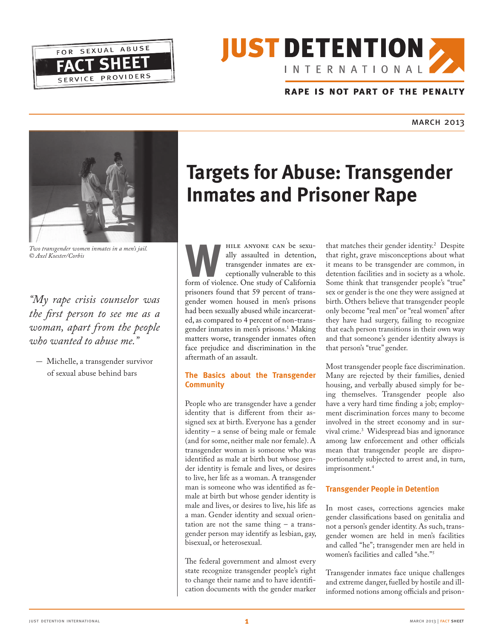



#### RAPE IS NOT PART OF THE PENALTY

march 2013 and the contract of the contract of the contract of the contract of the contract of the contract of the contract of the contract of the contract of the contract of the contract of the contract of the contract of



**W** *Two transgender women inmates in a men's jail. © Axel Koester/Corbis*

*"My rape crisis counselor was the first person to see me as a woman, apart from the people who wanted to abuse me."*

- Michelle, a transgender survivor of sexual abuse behind bars

# **Targets for Abuse: Transgender Inmates and Prisoner Rape**

AMILE ANYONE CAN be sexu-<br>
ally assaulted in detention,<br>
transgender inmates are ex-<br>
ceptionally vulnerable to this<br>
form of violence. One study of California<br>
prisoners found that 59 percent of transally assaulted in detention, transgender inmates are exceptionally vulnerable to this form of violence. One study of California gender women housed in men's prisons had been sexually abused while incarcerated, as compared to 4 percent of non-transgender inmates in men's prisons.<sup>1</sup> Making matters worse, transgender inmates often face prejudice and discrimination in the aftermath of an assault.

#### **The Basics about the Transgender Community**

People who are transgender have a gender identity that is different from their assigned sex at birth. Everyone has a gender identity – a sense of being male or female (and for some, neither male nor female). A transgender woman is someone who was identified as male at birth but whose gender identity is female and lives, or desires to live, her life as a woman. A transgender man is someone who was identified as female at birth but whose gender identity is male and lives, or desires to live, his life as a man. Gender identity and sexual orientation are not the same thing – a transgender person may identify as lesbian, gay, bisexual, or heterosexual.

The federal government and almost every state recognize transgender people's right to change their name and to have identification documents with the gender marker

that matches their gender identity.<sup>2</sup> Despite that right, grave misconceptions about what it means to be transgender are common, in detention facilities and in society as a whole. Some think that transgender people's "true" sex or gender is the one they were assigned at birth. Others believe that transgender people only become "real men" or "real women" after they have had surgery, failing to recognize that each person transitions in their own way and that someone's gender identity always is that person's "true" gender.

Most transgender people face discrimination. Many are rejected by their families, denied housing, and verbally abused simply for being themselves. Transgender people also have a very hard time finding a job; employment discrimination forces many to become involved in the street economy and in survival crime.3 Widespread bias and ignorance among law enforcement and other officials mean that transgender people are disproportionately subjected to arrest and, in turn, imprisonment.<sup>4</sup>

#### **Transgender People in Detention**

In most cases, corrections agencies make gender classifications based on genitalia and not a person's gender identity. As such, transgender women are held in men's facilities and called "he"; transgender men are held in women's facilities and called "she."5

Transgender inmates face unique challenges and extreme danger, fuelled by hostile and illinformed notions among officials and prison-